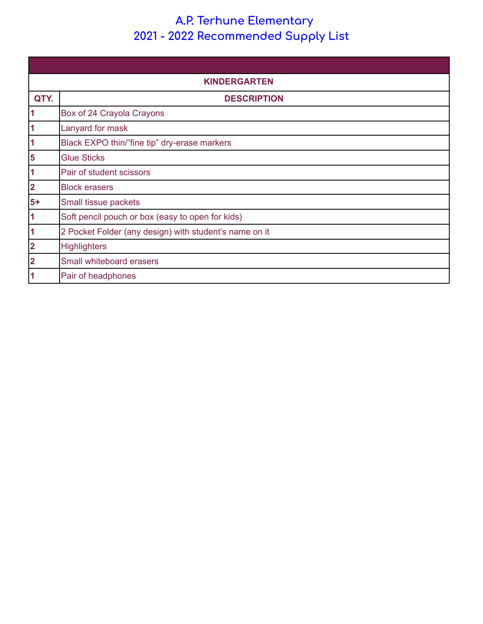## **A.P. Terhune Elementary - 2022 Recommended Supply List**

| <b>KINDERGARTEN</b>     |                                                        |
|-------------------------|--------------------------------------------------------|
| QTY.                    | <b>DESCRIPTION</b>                                     |
| $\overline{\mathbf{1}}$ | Box of 24 Crayola Crayons                              |
| $\blacktriangleleft$    | Lanyard for mask                                       |
| $\overline{\mathbf{1}}$ | Black EXPO thin/"fine tip" dry-erase markers           |
| 5                       | <b>Glue Sticks</b>                                     |
| $\overline{\mathbf{1}}$ | Pair of student scissors                               |
| $\overline{\mathbf{2}}$ | <b>Block erasers</b>                                   |
| $5+$                    | Small tissue packets                                   |
| $\overline{\mathbf{1}}$ | Soft pencil pouch or box (easy to open for kids)       |
| $\overline{\mathbf{1}}$ | 2 Pocket Folder (any design) with student's name on it |
| $\overline{\mathbf{2}}$ | <b>Highlighters</b>                                    |
| $\overline{\mathbf{2}}$ | Small whiteboard erasers                               |
| 1                       | Pair of headphones                                     |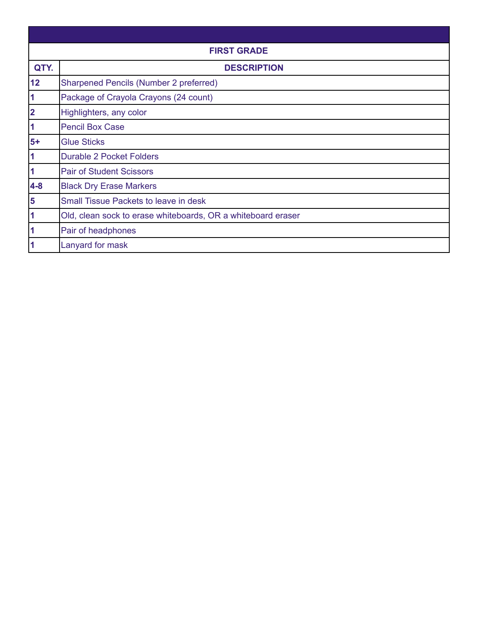| <b>FIRST GRADE</b>      |                                                              |  |
|-------------------------|--------------------------------------------------------------|--|
| QTY.                    | <b>DESCRIPTION</b>                                           |  |
| 12                      | <b>Sharpened Pencils (Number 2 preferred)</b>                |  |
| $\blacktriangleleft$    | Package of Crayola Crayons (24 count)                        |  |
| $\overline{\mathbf{2}}$ | Highlighters, any color                                      |  |
| 1                       | <b>Pencil Box Case</b>                                       |  |
| $5+$                    | <b>Glue Sticks</b>                                           |  |
| $\overline{\mathbf{1}}$ | <b>Durable 2 Pocket Folders</b>                              |  |
| $\overline{\mathbf{1}}$ | <b>Pair of Student Scissors</b>                              |  |
| $4-8$                   | <b>Black Dry Erase Markers</b>                               |  |
| $\overline{\mathbf{5}}$ | <b>Small Tissue Packets to leave in desk</b>                 |  |
| $\overline{\mathbf{1}}$ | Old, clean sock to erase whiteboards, OR a whiteboard eraser |  |
| 1                       | Pair of headphones                                           |  |
|                         | Lanyard for mask                                             |  |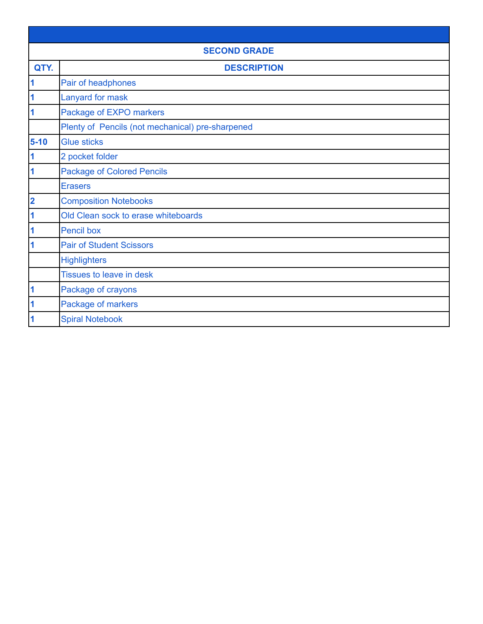| <b>SECOND GRADE</b>     |                                                  |  |
|-------------------------|--------------------------------------------------|--|
| QTY.                    | <b>DESCRIPTION</b>                               |  |
| 1                       | Pair of headphones                               |  |
| $\overline{\mathbf{1}}$ | Lanyard for mask                                 |  |
| 1                       | Package of EXPO markers                          |  |
|                         | Plenty of Pencils (not mechanical) pre-sharpened |  |
| $5 - 10$                | <b>Glue sticks</b>                               |  |
| $\overline{\mathbf{1}}$ | 2 pocket folder                                  |  |
| 1                       | <b>Package of Colored Pencils</b>                |  |
|                         | <b>Erasers</b>                                   |  |
| $\overline{\mathbf{2}}$ | <b>Composition Notebooks</b>                     |  |
| 1                       | Old Clean sock to erase whiteboards              |  |
| 1                       | <b>Pencil box</b>                                |  |
| 1                       | <b>Pair of Student Scissors</b>                  |  |
|                         | <b>Highlighters</b>                              |  |
|                         | <b>Tissues to leave in desk</b>                  |  |
| 1                       | Package of crayons                               |  |
| 1                       | Package of markers                               |  |
| 1                       | <b>Spiral Notebook</b>                           |  |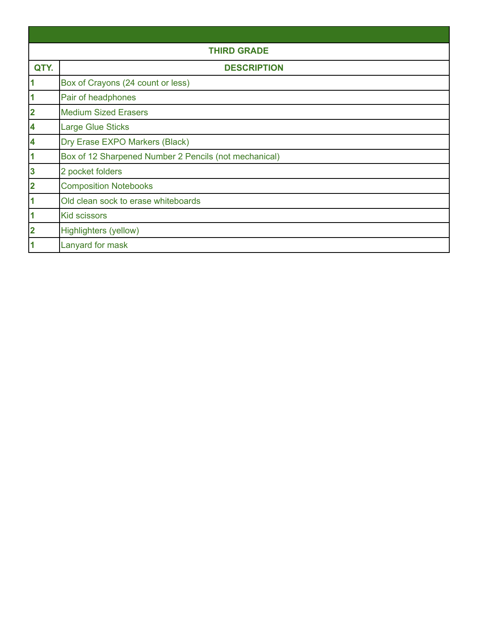| <b>THIRD GRADE</b>      |                                                       |
|-------------------------|-------------------------------------------------------|
| QTY.                    | <b>DESCRIPTION</b>                                    |
| $\overline{\mathbf{1}}$ | Box of Crayons (24 count or less)                     |
| $\overline{\mathbf{1}}$ | Pair of headphones                                    |
| $\overline{\mathbf{2}}$ | <b>Medium Sized Erasers</b>                           |
| $\overline{\mathbf{4}}$ | <b>Large Glue Sticks</b>                              |
| $\overline{\mathbf{4}}$ | Dry Erase EXPO Markers (Black)                        |
| $\overline{\mathbf{1}}$ | Box of 12 Sharpened Number 2 Pencils (not mechanical) |
| $\boldsymbol{3}$        | 2 pocket folders                                      |
| $\overline{\mathbf{2}}$ | <b>Composition Notebooks</b>                          |
| $\overline{\mathbf{1}}$ | Old clean sock to erase whiteboards                   |
| $\overline{\mathbf{1}}$ | <b>Kid scissors</b>                                   |
| $\overline{\mathbf{2}}$ | Highlighters (yellow)                                 |
| 1                       | Lanyard for mask                                      |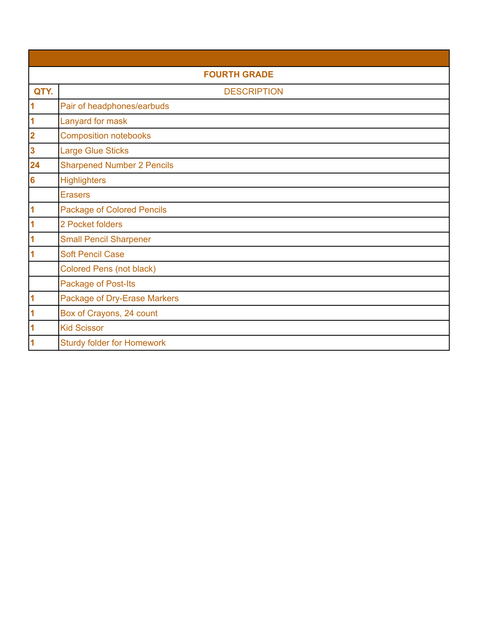| <b>FOURTH GRADE</b>     |                                   |  |
|-------------------------|-----------------------------------|--|
| QTY.                    | <b>DESCRIPTION</b>                |  |
| $\overline{\mathbf{1}}$ | Pair of headphones/earbuds        |  |
| $\overline{\mathbf{1}}$ | Lanyard for mask                  |  |
| $\overline{\mathbf{2}}$ | <b>Composition notebooks</b>      |  |
| $\overline{\mathbf{3}}$ | <b>Large Glue Sticks</b>          |  |
| 24                      | <b>Sharpened Number 2 Pencils</b> |  |
| $6\phantom{a}$          | <b>Highlighters</b>               |  |
|                         | <b>Erasers</b>                    |  |
| $\overline{\mathbf{1}}$ | <b>Package of Colored Pencils</b> |  |
| 1                       | 2 Pocket folders                  |  |
| 1                       | <b>Small Pencil Sharpener</b>     |  |
| 1                       | <b>Soft Pencil Case</b>           |  |
|                         | <b>Colored Pens (not black)</b>   |  |
|                         | Package of Post-Its               |  |
| 1                       | Package of Dry-Erase Markers      |  |
| 1                       | Box of Crayons, 24 count          |  |
| $\overline{\mathbf{1}}$ | <b>Kid Scissor</b>                |  |
| 1                       | <b>Sturdy folder for Homework</b> |  |